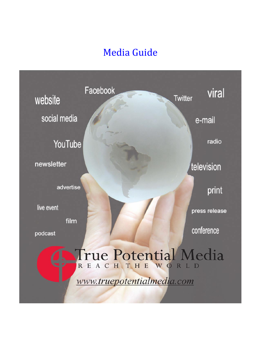# Media Guide

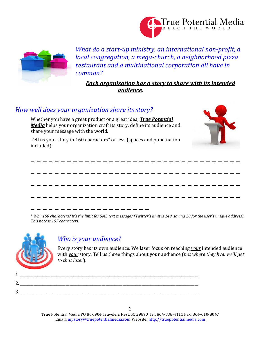



*What do a start-up ministry, an international non-profit, a local congregation, a mega-church, a neighborhood pizza restaurant and a multinational corporation all have in common?*

*Each organization has a story to share with its intended audience*.

## *How well does your organization share its story?*

Whether you have a great product or a great idea, *True Potential Media* helps your organization craft its story, define its audience and share your message with the world.

Tell us your story in 160 characters\* or less (spaces and punctuation included):





\* *Why 160 characters? It's the limit for SMS text messages (Twitter's limit is 140, saving 20 for the user's unique address). This note is 157 characters.*



# *Who is your audience?*

1. 2.

3. \_\_\_\_\_\_\_\_\_\_\_\_\_\_\_\_\_\_\_\_\_\_\_\_\_\_\_\_\_\_\_\_\_\_\_\_\_\_\_\_\_\_\_\_\_\_\_\_\_\_\_\_\_\_\_\_\_\_\_\_\_\_\_\_\_\_\_\_\_\_\_\_\_\_\_\_\_\_\_\_\_\_\_\_\_\_\_\_\_\_\_\_\_\_

Every story has its own audience. We laser focus on reaching *your* intended audience with *your* story. Tell us three things about your audience (*not where they live; we'll get to that later*).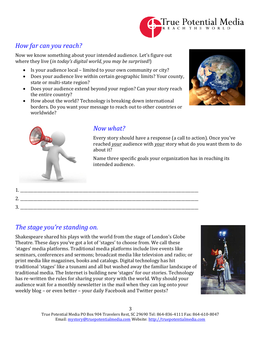

# *How far can you reach?*

Now we know something about your intended audience. Let's figure out where they live (*in today's digital world, you may be surprised!*)

- Is your audience local limited to your own community or city?
- Does your audience live within certain geographic limits? Your county, state or multi-state region?
- Does your audience extend beyond your region? Can your story reach the entire country?
- How about the world? Technology is breaking down international borders. Do you want your message to reach out to other countries or worldwide?





# *Now what?*

Every story should have a response (a call to action). Once you've reached *your* audience with *your* story what do you want them to do about it?

Name three specific goals your organization has in reaching its intended audience.

| ᅩ             |  |
|---------------|--|
| n<br><u>.</u> |  |
| റ<br>J.       |  |

# *The stage you're standing on.*

Shakespeare shared his plays with the world from the stage of London's Globe Theatre. These days you've got a lot of 'stages' to choose from. We call these 'stages' media platforms. Traditional media platforms include live events like seminars, conferences and sermons; broadcast media like television and radio; or print media like magazines, books and catalogs. Digital technology has hit traditional 'stages' like a tsunami and all but washed away the familiar landscape of traditional media. The Internet is building new 'stages' for our stories. Technology has re-written the rules for sharing your story with the world. Why should your audience wait for a monthly newsletter in the mail when they can log onto your weekly blog – or even better – your daily Facebook and Twitter posts?

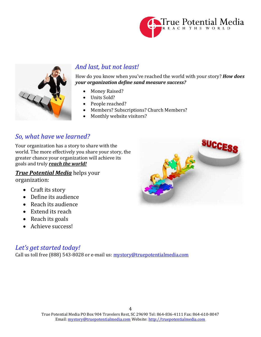



# *And last, but not least!*

How do you know when you've reached the world with your story? *How does your organization define sand measure success?*

- Money Raised?
- Units Sold?
- People reached?
- Members? Subscriptions? Church Members?
- Monthly website visitors?

## *So, what have we learned?*

Your organization has a story to share with the world. The more effectively you share your story, the greater chance your organization will achieve its goals and truly *reach the world!*

# *True Potential Media* helps your

organization:

- Craft its story
- Define its audience
- Reach its audience
- Extend its reach
- Reach its goals
- Achieve success!

## *Let's get started today!*

Call us toll free (888) 543-8028 or e-mail us: [mystory@truepotentialmedia.com](mailto:mystory@truepotentialmedia.com)

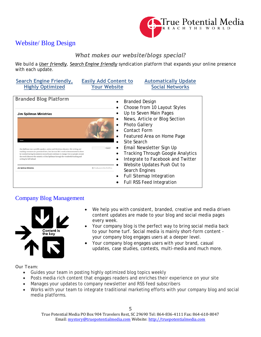

## Website/ Blog Design

## *What makes our website/blogs special?*

We build a *User friendly*, *Search Engine friendly* syndication platform that expands your online presence with each update.

| <b>Search Engine Friendly,</b><br><b>Highly Optimized</b>                                                                                                                                                                                                                                                                                                                                                                                                              | <b>Easily Add Content to</b><br><b>Your Website</b>             | <b>Automatically Update</b><br><b>Social Networks</b>                                                                                                                                                                                                                                                                                                                     |
|------------------------------------------------------------------------------------------------------------------------------------------------------------------------------------------------------------------------------------------------------------------------------------------------------------------------------------------------------------------------------------------------------------------------------------------------------------------------|-----------------------------------------------------------------|---------------------------------------------------------------------------------------------------------------------------------------------------------------------------------------------------------------------------------------------------------------------------------------------------------------------------------------------------------------------------|
| <b>Branded Blog Platform</b>                                                                                                                                                                                                                                                                                                                                                                                                                                           |                                                                 | <b>Branded Design</b><br>Choose from 10 Layout Styles                                                                                                                                                                                                                                                                                                                     |
| <b>Jim Spillman Ministries</b><br>Home<br>Jim Spillman was a prolific speaker, author and Christian educator. His writing and<br>teaching resources are presented here, but his true life's work is demonstrated in those<br>he touched during his ministry on earth and continues to change lives as people around<br>the world discover the ministry of Jim Spillman through the wonderful teaching and<br>writing he left behind.<br><b>Jim Spillman Ministries</b> | Site Search<br>Search<br><b>B</b> Proudly powered by WordPress. | Up to Seven Main Pages<br>News, Article or Blog Section<br><b>Photo Gallery</b><br><b>Contact Form</b><br>Featured Area on Home Page<br>Email Newsletter Sign Up<br><b>Tracking Through Google Analytics</b><br>Integrate to Facebook and Twitter<br>Website Updates Push Out to<br>Search Engines<br><b>Full Sitemap Integration</b><br><b>Full RSS Feed Integration</b> |

## Company Blog Management



- We help you with consistent, branded, creative and media driven content updates are made to your blog and social media pages every week.
- Your company blog is the perfect way to bring social media back to your home turf. Social media is mainly short-form content your company blog engages users at a deeper level.
- Your company blog engages users with your brand, casual updates, case studies, contests, multi-media and much more.

## Our Team:

- Guides your team in posting highly optimized blog topics weekly
- Posts media rich content that engages readers and enriches their experience on your site
- Manages your updates to company newsletter and RSS feed subscribers
- Works with your team to integrate traditional marketing efforts with your company blog and social media platforms.

True Potential Media PO Box 904 Travelers Rest, SC 29690 Tel: 864-836-4111 Fax: 864-610-8047 Email[: mystory@truepotentialmedia.com](mailto:mystory@truepotentialmedia.com) Website[: http://truepotentialmedia.com](http://truepotentialmedia.com/)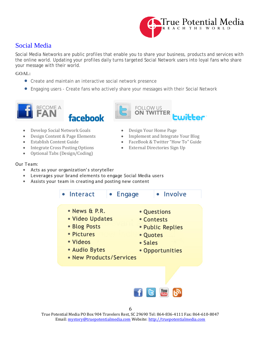

## Social Media

Social Media Networks are public profiles that enable you to share your business, products and services with the online world. Updating your profiles daily turns targeted Social Network users into loyal fans who share your message with their world.

**GOAL:**

- Create and maintain an interactive social network presence
- Engaging users Create fans who actively share your messages with their Social Network





- 
- **Develop Social Network Goals** Design Your Home Page Design Content & Page Elements Implement and Integrate
- 
- Integrate Cross Posting Options
- Optional Tabs (Design/Coding)

### Our Team:

- Acts as your organization's storyteller
- Leverages your brand elements to engage Social Media users
- Assists your team in creating and posting new content



True Potential Media PO Box 904 Travelers Rest, SC 29690 Tel: 864-836-4111 Fax: 864-610-8047 Email[: mystory@truepotentialmedia.com](mailto:mystory@truepotentialmedia.com) Website[: http://truepotentialmedia.com](http://truepotentialmedia.com/)

- 
- 

**FOLLOW US ON TWITTER** 

- **Design Content & Page Elements** Implement and Integrate Your Blog<br>Establish Content Guide FaceBook & Twitter "How To" Guide
	- FaceBook & Twitter "How To" Guide<br>• External Directories Sign Up
	-